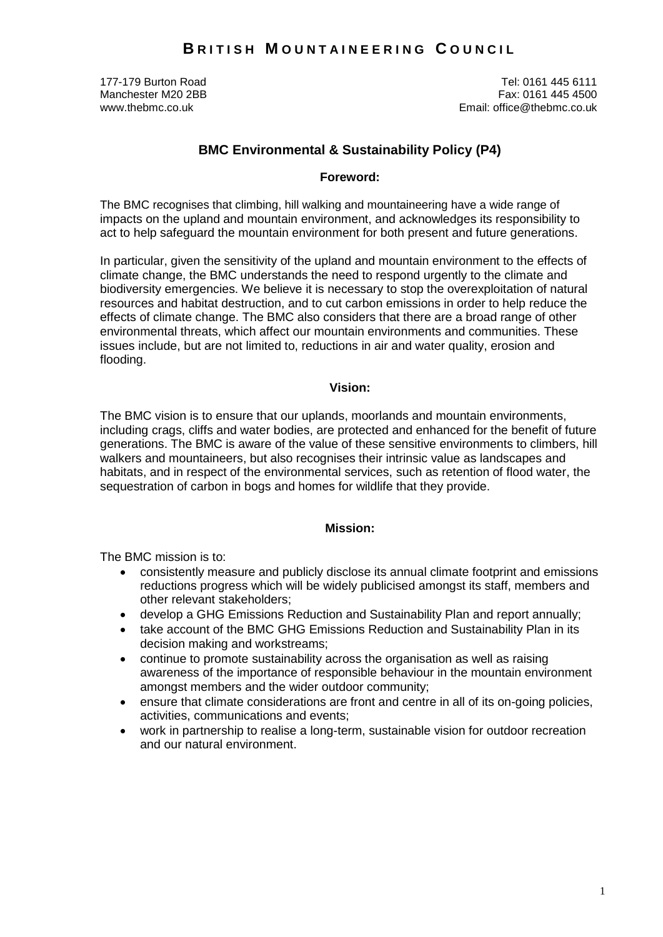Manchester M20 2BB<br>www.thebmc.co.uk

177-179 Burton Road Tel: 0161 445 6111 www.thebmc.co.uk Email: office@thebmc.co.uk

# **BMC Environmental & Sustainability Policy (P4)**

#### **Foreword:**

The BMC recognises that climbing, hill walking and mountaineering have a wide range of impacts on the upland and mountain environment, and acknowledges its responsibility to act to help safeguard the mountain environment for both present and future generations.

In particular, given the sensitivity of the upland and mountain environment to the effects of climate change, the BMC understands the need to respond urgently to the climate and biodiversity emergencies. We believe it is necessary to stop the overexploitation of natural resources and habitat destruction, and to cut carbon emissions in order to help reduce the effects of climate change. The BMC also considers that there are a broad range of other environmental threats, which affect our mountain environments and communities. These issues include, but are not limited to, reductions in air and water quality, erosion and flooding.

#### **Vision:**

The BMC vision is to ensure that our uplands, moorlands and mountain environments, including crags, cliffs and water bodies, are protected and enhanced for the benefit of future generations. The BMC is aware of the value of these sensitive environments to climbers, hill walkers and mountaineers, but also recognises their intrinsic value as landscapes and habitats, and in respect of the environmental services, such as retention of flood water, the sequestration of carbon in bogs and homes for wildlife that they provide.

## **Mission:**

The BMC mission is to:

- consistently measure and publicly disclose its annual climate footprint and emissions reductions progress which will be widely publicised amongst its staff, members and other relevant stakeholders;
- develop a GHG Emissions Reduction and Sustainability Plan and report annually;
- take account of the BMC GHG Emissions Reduction and Sustainability Plan in its decision making and workstreams;
- continue to promote sustainability across the organisation as well as raising awareness of the importance of responsible behaviour in the mountain environment amongst members and the wider outdoor community;
- ensure that climate considerations are front and centre in all of its on-going policies, activities, communications and events;
- work in partnership to realise a long-term, sustainable vision for outdoor recreation and our natural environment.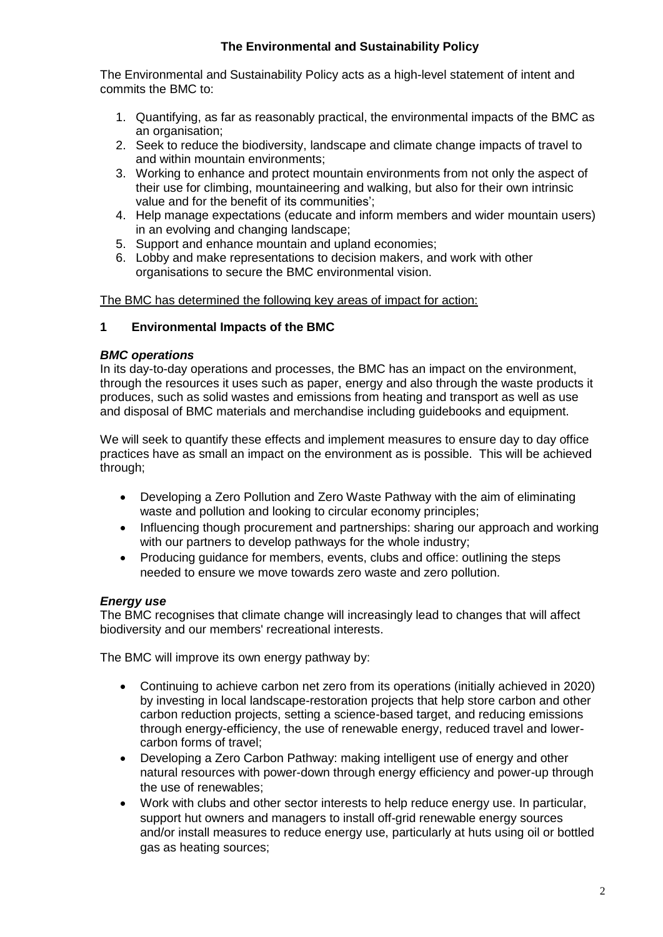## **The Environmental and Sustainability Policy**

The Environmental and Sustainability Policy acts as a high-level statement of intent and commits the BMC to:

- 1. Quantifying, as far as reasonably practical, the environmental impacts of the BMC as an organisation;
- 2. Seek to reduce the biodiversity, landscape and climate change impacts of travel to and within mountain environments;
- 3. Working to enhance and protect mountain environments from not only the aspect of their use for climbing, mountaineering and walking, but also for their own intrinsic value and for the benefit of its communities';
- 4. Help manage expectations (educate and inform members and wider mountain users) in an evolving and changing landscape;
- 5. Support and enhance mountain and upland economies;
- 6. Lobby and make representations to decision makers, and work with other organisations to secure the BMC environmental vision.

The BMC has determined the following key areas of impact for action:

## **1 Environmental Impacts of the BMC**

## *BMC operations*

In its day-to-day operations and processes, the BMC has an impact on the environment, through the resources it uses such as paper, energy and also through the waste products it produces, such as solid wastes and emissions from heating and transport as well as use and disposal of BMC materials and merchandise including guidebooks and equipment.

We will seek to quantify these effects and implement measures to ensure day to day office practices have as small an impact on the environment as is possible. This will be achieved through;

- Developing a Zero Pollution and Zero Waste Pathway with the aim of eliminating waste and pollution and looking to circular economy principles;
- Influencing though procurement and partnerships: sharing our approach and working with our partners to develop pathways for the whole industry;
- Producing guidance for members, events, clubs and office: outlining the steps needed to ensure we move towards zero waste and zero pollution.

## *Energy use*

The BMC recognises that climate change will increasingly lead to changes that will affect biodiversity and our members' recreational interests.

The BMC will improve its own energy pathway by:

- Continuing to achieve carbon net zero from its operations (initially achieved in 2020) by investing in local landscape-restoration projects that help store carbon and other carbon reduction projects, setting a science-based target, and reducing emissions through energy-efficiency, the use of renewable energy, reduced travel and lowercarbon forms of travel;
- Developing a Zero Carbon Pathway: making intelligent use of energy and other natural resources with power-down through energy efficiency and power-up through the use of renewables;
- Work with clubs and other sector interests to help reduce energy use. In particular, support hut owners and managers to install off-grid renewable energy sources and/or install measures to reduce energy use, particularly at huts using oil or bottled gas as heating sources;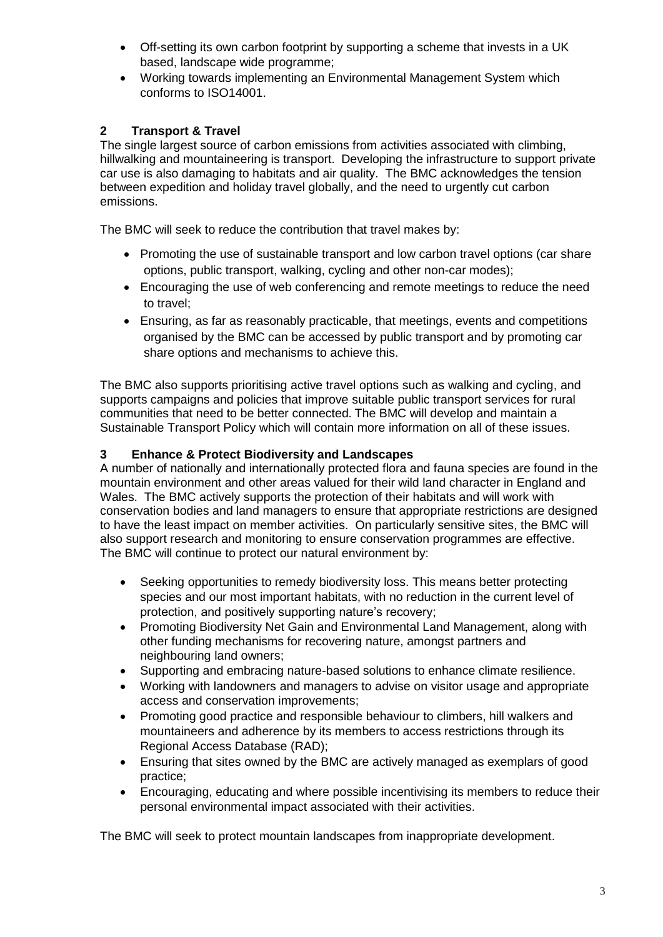- Off-setting its own carbon footprint by supporting a scheme that invests in a UK based, landscape wide programme;
- Working towards implementing an Environmental Management System which conforms to ISO14001.

# **2 Transport & Travel**

The single largest source of carbon emissions from activities associated with climbing, hillwalking and mountaineering is transport. Developing the infrastructure to support private car use is also damaging to habitats and air quality. The BMC acknowledges the tension between expedition and holiday travel globally, and the need to urgently cut carbon emissions.

The BMC will seek to reduce the contribution that travel makes by:

- Promoting the use of sustainable transport and low carbon travel options (car share options, public transport, walking, cycling and other non-car modes);
- Encouraging the use of web conferencing and remote meetings to reduce the need to travel;
- Ensuring, as far as reasonably practicable, that meetings, events and competitions organised by the BMC can be accessed by public transport and by promoting car share options and mechanisms to achieve this.

The BMC also supports prioritising active travel options such as walking and cycling, and supports campaigns and policies that improve suitable public transport services for rural communities that need to be better connected. The BMC will develop and maintain a Sustainable Transport Policy which will contain more information on all of these issues.

## **3 Enhance & Protect Biodiversity and Landscapes**

A number of nationally and internationally protected flora and fauna species are found in the mountain environment and other areas valued for their wild land character in England and Wales. The BMC actively supports the protection of their habitats and will work with conservation bodies and land managers to ensure that appropriate restrictions are designed to have the least impact on member activities. On particularly sensitive sites, the BMC will also support research and monitoring to ensure conservation programmes are effective. The BMC will continue to protect our natural environment by:

- Seeking opportunities to remedy biodiversity loss. This means better protecting species and our most important habitats, with no reduction in the current level of protection, and positively supporting nature's recovery;
- Promoting Biodiversity Net Gain and Environmental Land Management, along with other funding mechanisms for recovering nature, amongst partners and neighbouring land owners;
- Supporting and embracing nature-based solutions to enhance climate resilience.
- Working with landowners and managers to advise on visitor usage and appropriate access and conservation improvements;
- Promoting good practice and responsible behaviour to climbers, hill walkers and mountaineers and adherence by its members to access restrictions through its Regional Access Database (RAD);
- Ensuring that sites owned by the BMC are actively managed as exemplars of good practice;
- Encouraging, educating and where possible incentivising its members to reduce their personal environmental impact associated with their activities.

The BMC will seek to protect mountain landscapes from inappropriate development.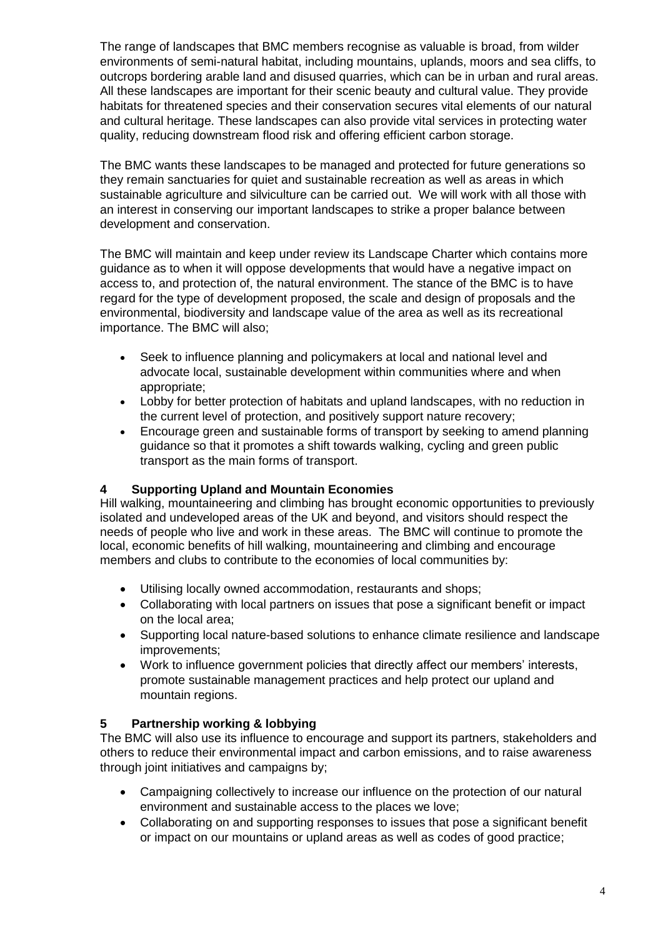The range of landscapes that BMC members recognise as valuable is broad, from wilder environments of semi-natural habitat, including mountains, uplands, moors and sea cliffs, to outcrops bordering arable land and disused quarries, which can be in urban and rural areas. All these landscapes are important for their scenic beauty and cultural value. They provide habitats for threatened species and their conservation secures vital elements of our natural and cultural heritage. These landscapes can also provide vital services in protecting water quality, reducing downstream flood risk and offering efficient carbon storage.

The BMC wants these landscapes to be managed and protected for future generations so they remain sanctuaries for quiet and sustainable recreation as well as areas in which sustainable agriculture and silviculture can be carried out. We will work with all those with an interest in conserving our important landscapes to strike a proper balance between development and conservation.

The BMC will maintain and keep under review its Landscape Charter which contains more guidance as to when it will oppose developments that would have a negative impact on access to, and protection of, the natural environment. The stance of the BMC is to have regard for the type of development proposed, the scale and design of proposals and the environmental, biodiversity and landscape value of the area as well as its recreational importance. The BMC will also;

- Seek to influence planning and policymakers at local and national level and advocate local, sustainable development within communities where and when appropriate;
- Lobby for better protection of habitats and upland landscapes, with no reduction in the current level of protection, and positively support nature recovery;
- Encourage green and sustainable forms of transport by seeking to amend planning guidance so that it promotes a shift towards walking, cycling and green public transport as the main forms of transport.

## **4 Supporting Upland and Mountain Economies**

Hill walking, mountaineering and climbing has brought economic opportunities to previously isolated and undeveloped areas of the UK and beyond, and visitors should respect the needs of people who live and work in these areas. The BMC will continue to promote the local, economic benefits of hill walking, mountaineering and climbing and encourage members and clubs to contribute to the economies of local communities by:

- Utilising locally owned accommodation, restaurants and shops;
- Collaborating with local partners on issues that pose a significant benefit or impact on the local area;
- Supporting local nature-based solutions to enhance climate resilience and landscape improvements;
- Work to influence government policies that directly affect our members' interests, promote sustainable management practices and help protect our upland and mountain regions.

## **5 Partnership working & lobbying**

The BMC will also use its influence to encourage and support its partners, stakeholders and others to reduce their environmental impact and carbon emissions, and to raise awareness through joint initiatives and campaigns by;

- Campaigning collectively to increase our influence on the protection of our natural environment and sustainable access to the places we love;
- Collaborating on and supporting responses to issues that pose a significant benefit or impact on our mountains or upland areas as well as codes of good practice;